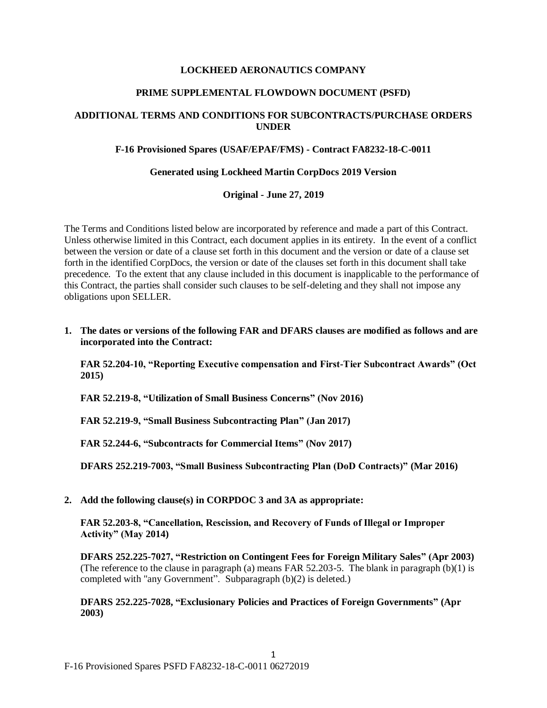# **LOCKHEED AERONAUTICS COMPANY**

# **PRIME SUPPLEMENTAL FLOWDOWN DOCUMENT (PSFD)**

# **ADDITIONAL TERMS AND CONDITIONS FOR SUBCONTRACTS/PURCHASE ORDERS UNDER**

# **F-16 Provisioned Spares (USAF/EPAF/FMS) - Contract FA8232-18-C-0011**

### **Generated using Lockheed Martin CorpDocs 2019 Version**

**Original - June 27, 2019**

The Terms and Conditions listed below are incorporated by reference and made a part of this Contract. Unless otherwise limited in this Contract, each document applies in its entirety. In the event of a conflict between the version or date of a clause set forth in this document and the version or date of a clause set forth in the identified CorpDocs, the version or date of the clauses set forth in this document shall take precedence. To the extent that any clause included in this document is inapplicable to the performance of this Contract, the parties shall consider such clauses to be self-deleting and they shall not impose any obligations upon SELLER.

**1. The dates or versions of the following FAR and DFARS clauses are modified as follows and are incorporated into the Contract:**

**FAR 52.204-10, "Reporting Executive compensation and First-Tier Subcontract Awards" (Oct 2015)**

**FAR 52.219-8, "Utilization of Small Business Concerns" (Nov 2016)**

**FAR 52.219-9, "Small Business Subcontracting Plan" (Jan 2017)**

**FAR 52.244-6, "Subcontracts for Commercial Items" (Nov 2017)**

**DFARS 252.219-7003, "Small Business Subcontracting Plan (DoD Contracts)" (Mar 2016)**

**2. Add the following clause(s) in CORPDOC 3 and 3A as appropriate:**

**FAR 52.203-8, "Cancellation, Rescission, and Recovery of Funds of Illegal or Improper Activity" (May 2014)**

**DFARS 252.225-7027, "Restriction on Contingent Fees for Foreign Military Sales" (Apr 2003)** (The reference to the clause in paragraph (a) means FAR  $52.203-5$ . The blank in paragraph (b)(1) is completed with "any Government". Subparagraph (b)(2) is deleted.)

**DFARS 252.225-7028, "Exclusionary Policies and Practices of Foreign Governments" (Apr 2003)**